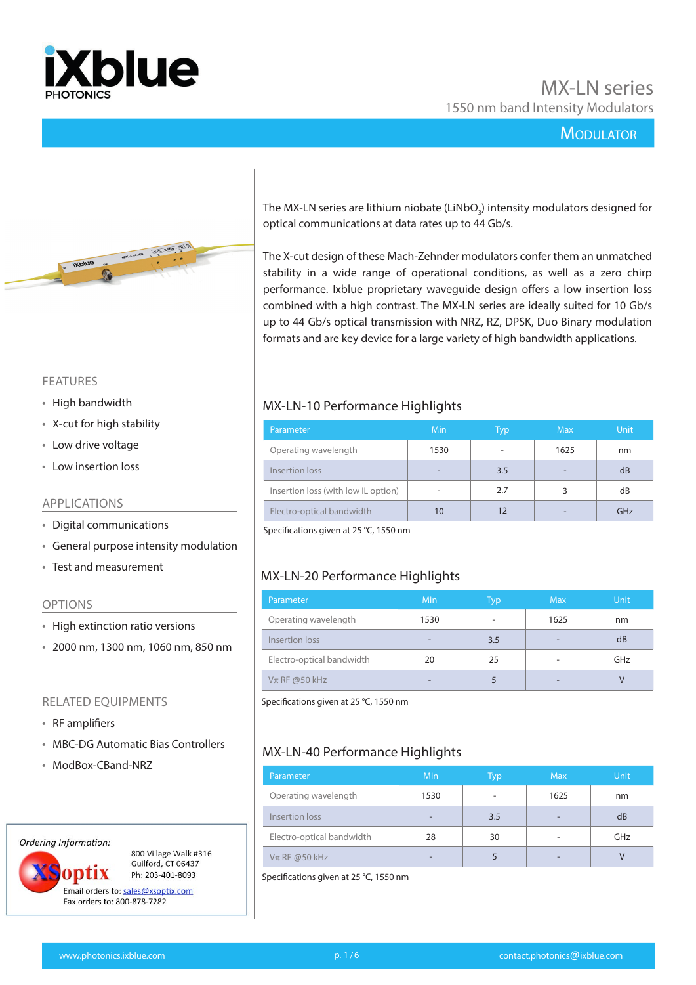



The MX-LN series are lithium niobate (LiNbO $_{_3}$ ) intensity modulators designed for optical communications at data rates up to 44 Gb/s.

The X-cut design of these Mach-Zehnder modulators confer them an unmatched stability in a wide range of operational conditions, as well as a zero chirp performance. Ixblue proprietary waveguide design offers a low insertion loss combined with a high contrast. The MX-LN series are ideally suited for 10 Gb/s up to 44 Gb/s optical transmission with NRZ, RZ, DPSK, Duo Binary modulation formats and are key device for a large variety of high bandwidth applications.

#### FEATURES

- High bandwidth
- X-cut for high stability
- Low drive voltage
- Low insertion loss

#### APPLICATIONS

- Digital communications
- General purpose intensity modulation
- Test and measurement

#### OPTIONS

- High extinction ratio versions
- 2000 nm, 1300 nm, 1060 nm, 850 nm

#### RELATED EQUIPMENTS

- RF amplifiers
- MBC-DG Automatic Bias Controllers
- ModBox-CBand-NRZ

#### Ordering Information:

ontix

800 Village Walk #316 Guilford, CT 06437 Ph: 203-401-8093

Email orders to: sales@xsoptix.com Fax orders to: 800-878-7282

## MX-LN-10 Performance Highlights

| Parameter                           | Min  | Typ | <b>Max</b> | <b>Unit</b> |
|-------------------------------------|------|-----|------------|-------------|
| Operating wavelength                | 1530 | ۰   | 1625       | nm          |
| Insertion loss                      |      | 3.5 |            | dB          |
| Insertion loss (with low IL option) | -    | 2.7 |            | dB          |
| Electro-optical bandwidth           |      |     |            | GHz         |

Specifications given at 25 °C, 1550 nm

## MX-LN-20 Performance Highlights

| Parameter                 | <b>Min</b> | Typ | <b>Max</b>               | <b>Unit</b> |
|---------------------------|------------|-----|--------------------------|-------------|
| Operating wavelength      | 1530       | ۰   | 1625                     | nm          |
| Insertion loss            |            | 3.5 | -                        | dB          |
| Electro-optical bandwidth | 20         | 25  | ۰                        | GHz         |
| $V\pi$ RF @50 kHz         | -          |     | $\overline{\phantom{0}}$ | V           |

Specifications given at 25 °C, 1550 nm

## MX-LN-40 Performance Highlights

| Parameter                 | Min  | Typ | <b>Max</b> | <b>Unit</b> |
|---------------------------|------|-----|------------|-------------|
| Operating wavelength      | 1530 |     | 1625       | nm          |
| Insertion loss            |      | 3.5 |            | dB          |
| Electro-optical bandwidth | 28   | 30  |            | GHz         |
| $V\pi$ RF @50 kHz         |      |     |            |             |

Specifications given at 25 °C, 1550 nm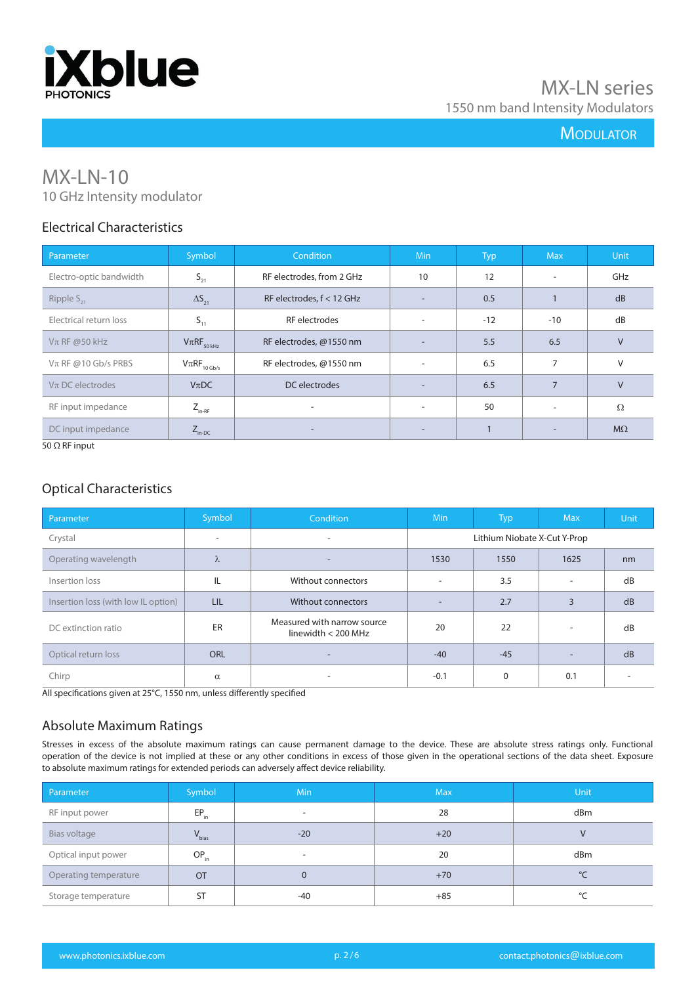

# MX-LN-10 10 GHz Intensity modulator

## Electrical Characteristics

| Parameter               | Symbol                      | <b>Condition</b>          | <b>Min</b>               | <b>Typ</b> | <b>Max</b>               | Unit      |
|-------------------------|-----------------------------|---------------------------|--------------------------|------------|--------------------------|-----------|
| Electro-optic bandwidth | $S_{21}$                    | RF electrodes, from 2 GHz | 10                       | 12         | $\overline{\phantom{a}}$ | GHz       |
| Ripple $S_{21}$         | $\Delta S_{21}$             | RF electrodes, f < 12 GHz | $\overline{\phantom{0}}$ | 0.5        |                          | dB        |
| Electrical return loss  | $S_{11}$                    | RF electrodes             | $\sim$                   | $-12$      | $-10$                    | dB        |
| $V\pi$ RF @50 kHz       | $V\pi RF_{50\,kHz}$         | RF electrodes, @1550 nm   | $\overline{\phantom{a}}$ | 5.5        | 6.5                      | $\vee$    |
| $V\pi$ RF @10 Gb/s PRBS | $V\pi RF_{10\,\text{Gb/s}}$ | RF electrodes, @1550 nm   | $\sim$                   | 6.5        | 7                        | V         |
| $V\pi$ DC electrodes    | $V_{\pi}DC$                 | DC electrodes             | $\overline{\phantom{a}}$ | 6.5        | $\overline{7}$           | $\vee$    |
| RF input impedance      | $Z_{_{\text{in-RF}}}$       | $\overline{\phantom{a}}$  | $\sim$                   | 50         | $\overline{\phantom{a}}$ | $\Omega$  |
| DC input impedance      | $Z_{\text{in-DC}}$          | $\overline{\phantom{a}}$  | $\overline{\phantom{a}}$ | 1          | $\overline{\phantom{a}}$ | $M\Omega$ |

50 Ω RF input

## Optical Characteristics

| Parameter                           | Symbol                   | Condition                                            | <b>Min</b>               | <b>Typ</b>                   | <b>Max</b>               | <b>Unit</b> |
|-------------------------------------|--------------------------|------------------------------------------------------|--------------------------|------------------------------|--------------------------|-------------|
| Crystal                             | $\overline{\phantom{a}}$ | ۰                                                    |                          | Lithium Niobate X-Cut Y-Prop |                          |             |
| Operating wavelength                | $\lambda$                | $\overline{\phantom{a}}$                             | 1530                     | 1550                         | 1625                     | nm          |
| Insertion loss                      | IL                       | Without connectors                                   | ٠                        | 3.5                          | $\overline{\phantom{a}}$ | dB          |
| Insertion loss (with low IL option) | LIL                      | Without connectors                                   | $\overline{\phantom{a}}$ | 2.7                          | 3                        | dB          |
| DC extinction ratio                 | ER                       | Measured with narrow source<br>linewidth $<$ 200 MHz | 20                       | 22                           | $\overline{\phantom{a}}$ | dB          |
| Optical return loss                 | <b>ORL</b>               | -                                                    | $-40$                    | $-45$                        | $\overline{\phantom{a}}$ | dB          |
| Chirp                               | $\alpha$                 | $\overline{\phantom{a}}$                             | $-0.1$                   | $\mathbf 0$                  | 0.1                      |             |

All specifications given at 25°C, 1550 nm, unless differently specified

## Absolute Maximum Ratings

Stresses in excess of the absolute maximum ratings can cause permanent damage to the device. These are absolute stress ratings only. Functional operation of the device is not implied at these or any other conditions in excess of those given in the operational sections of the data sheet. Exposure to absolute maximum ratings for extended periods can adversely affect device reliability.

| Parameter             | Symbol     | Min   | <b>Max</b> | <b>Unit</b>  |
|-----------------------|------------|-------|------------|--------------|
| RF input power        | $EP_{in}$  |       | 28         | dBm          |
| Bias voltage          | $V_{bias}$ | $-20$ | $+20$      |              |
| Optical input power   | $OP_{in}$  | ٠     | 20         | dBm          |
| Operating temperature | <b>OT</b>  | 0     | $+70$      | $^{\circ}$ C |
| Storage temperature   | <b>ST</b>  | -40   | $+85$      | °C           |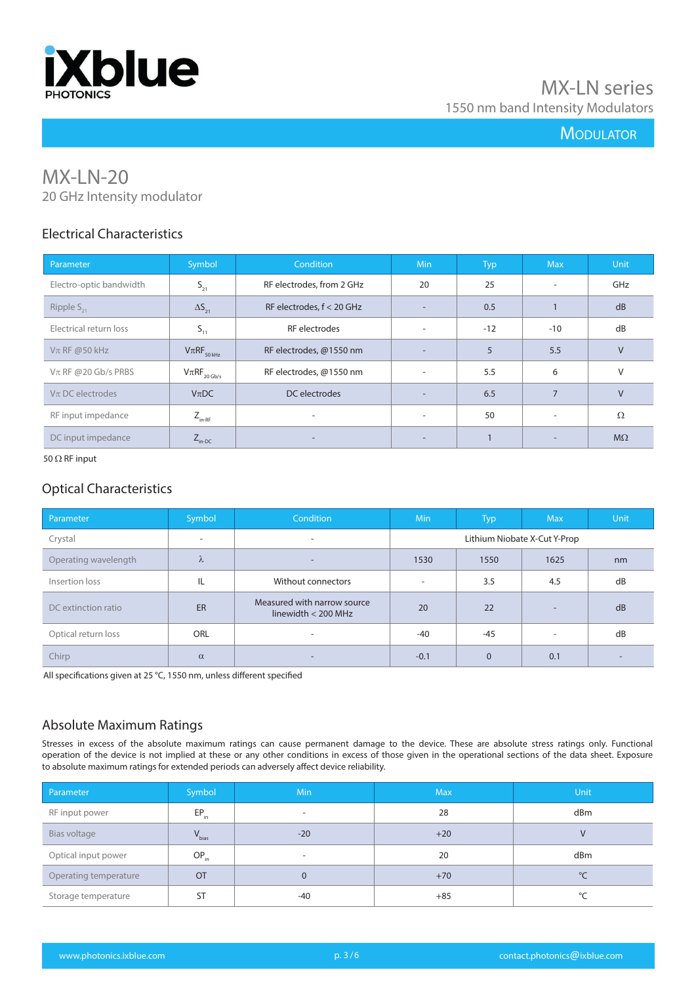

# MX-LN-20 20 GHz Intensity modulator

## Electrical Characteristics

| Parameter                | Symbol                                            | Condition                   | <b>Min</b>               | <b>Typ</b> | <b>Max</b>               | Unit      |
|--------------------------|---------------------------------------------------|-----------------------------|--------------------------|------------|--------------------------|-----------|
| Electro-optic bandwidth  | $S_{21}$                                          | RF electrodes, from 2 GHz   | 20                       | 25         | $\overline{\phantom{a}}$ | GHz       |
| Ripple $S_{21}$          | $\Delta S_{21}$                                   | RF electrodes, $f < 20$ GHz | $\overline{\phantom{a}}$ | 0.5        |                          | dB        |
| Electrical return loss   | $S_{11}$                                          | RF electrodes               | $\overline{\phantom{a}}$ | $-12$      | $-10$                    | dB        |
| $V\pi$ RF @50 kHz        | $V\pi RF_{_{50\,kHz}}$                            | RF electrodes, @1550 nm     | $\overline{\phantom{a}}$ | 5          | 5.5                      | $\vee$    |
| $V\pi$ RF @ 20 Gb/s PRBS | $\mathsf{V}\pi\mathsf{RF}_{_{20\,\mathsf{Gb/s}}}$ | RF electrodes, @1550 nm     | $\overline{\phantom{a}}$ | 5.5        | 6                        | $\vee$    |
| $V\pi$ DC electrodes     | $V_{\pi}DC$                                       | DC electrodes               | $\overline{\phantom{a}}$ | 6.5        | $\overline{7}$           | $\vee$    |
| RF input impedance       | $Z_{_{\text{in-RF}}}$                             |                             | $\overline{\phantom{a}}$ | 50         | $\overline{\phantom{a}}$ | $\Omega$  |
| DC input impedance       | $Z_{\text{in-DC}}$                                | $\overline{\phantom{0}}$    | $\overline{\phantom{a}}$ | 1          | $\overline{\phantom{a}}$ | $M\Omega$ |

50  $\Omega$  RF input

#### Optical Characteristics

| Parameter            | Symbol                   | Condition                                            | <b>Min</b>                   | <b>Typ</b>   | <b>Max</b>               | <b>Unit</b> |
|----------------------|--------------------------|------------------------------------------------------|------------------------------|--------------|--------------------------|-------------|
| Crystal              | $\overline{\phantom{a}}$ | $\sim$                                               | Lithium Niobate X-Cut Y-Prop |              |                          |             |
| Operating wavelength | $\lambda$                | ۰.                                                   | 1530                         | 1550         | 1625                     | nm          |
| Insertion loss       | IL                       | Without connectors                                   | $\overline{\phantom{a}}$     | 3.5          | 4.5                      | dB          |
| DC extinction ratio  | ER                       | Measured with narrow source<br>linewidth $<$ 200 MHz | 20                           | 22           | $\overline{\phantom{a}}$ | dB          |
| Optical return loss  | ORL                      | ۰                                                    | $-40$                        | -45          | $\overline{\phantom{a}}$ | dB          |
| Chirp                | $\alpha$                 | -                                                    | $-0.1$                       | $\mathbf{0}$ | 0.1                      |             |

All specifications given at 25 °C, 1550 nm, unless different specified

## Absolute Maximum Ratings

Stresses in excess of the absolute maximum ratings can cause permanent damage to the device. These are absolute stress ratings only. Functional operation of the device is not implied at these or any other conditions in excess of those given in the operational sections of the data sheet. Exposure to absolute maximum ratings for extended periods can adversely affect device reliability.

| Parameter             | Symbol     | Min                      | <b>Max</b> | <b>Unit</b>  |
|-----------------------|------------|--------------------------|------------|--------------|
| RF input power        | $EP_{in}$  |                          | 28         | dBm          |
| Bias voltage          | $V_{bias}$ | $-20$                    | $+20$      | $\mathsf{V}$ |
| Optical input power   | $OP_{in}$  | $\overline{\phantom{a}}$ | 20         | dBm          |
| Operating temperature | <b>OT</b>  | 0                        | $+70$      | °C           |
| Storage temperature   | <b>ST</b>  | -40                      | $+85$      | °C           |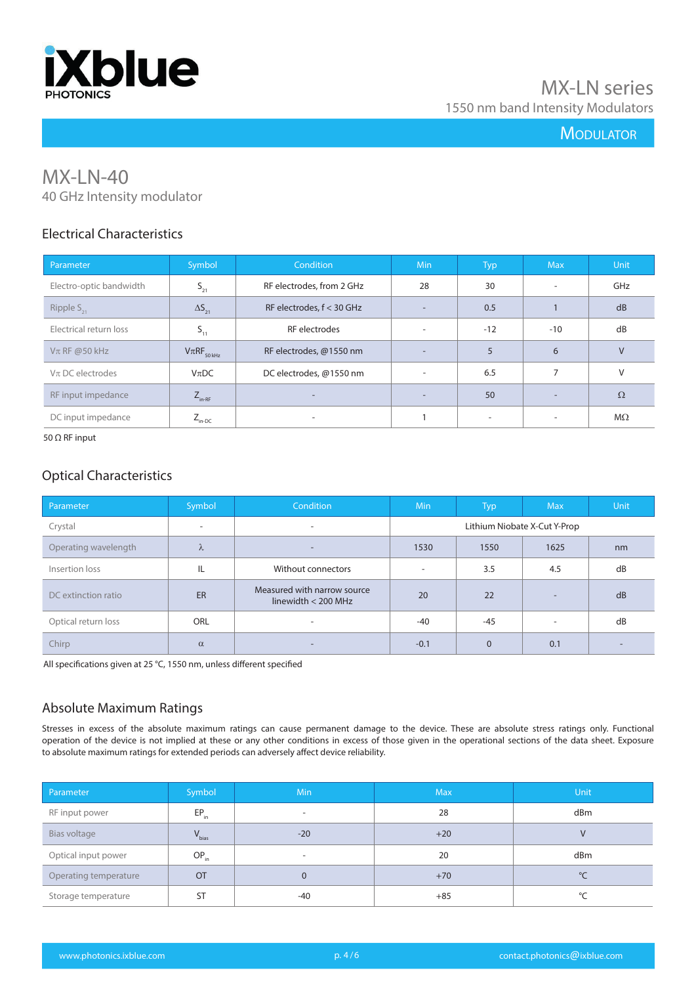

# MX-LN-40 40 GHz Intensity modulator

## Electrical Characteristics

| Parameter               | Symbol                 | <b>Condition</b>            | <b>Min</b>               | <b>Typ</b>               | <b>Max</b>               | <b>Unit</b> |
|-------------------------|------------------------|-----------------------------|--------------------------|--------------------------|--------------------------|-------------|
| Electro-optic bandwidth | $S_{21}$               | RF electrodes, from 2 GHz   | 28                       | 30                       | ٠                        | GHz         |
| Ripple $S_{21}$         | $\Delta S_{21}$        | RF electrodes, $f < 30$ GHz | $\overline{\phantom{0}}$ | 0.5                      |                          | dB          |
| Electrical return loss  | $S_{11}$               | RF electrodes               | $\overline{\phantom{a}}$ | $-12$                    | $-10$                    | dB          |
| $V\pi$ RF @50 kHz       | $V\pi RF_{_{50\,kHz}}$ | RF electrodes, @1550 nm     | $\overline{\phantom{a}}$ | 5                        | 6                        | $\vee$      |
| $V\pi$ DC electrodes    | $V_{\pi}DC$            | DC electrodes, @1550 nm     | $\overline{\phantom{a}}$ | 6.5                      | 7                        | V           |
| RF input impedance      | $Z_{_{\text{in-RF}}}$  |                             | $\overline{\phantom{a}}$ | 50                       | $\overline{\phantom{a}}$ | $\Omega$    |
| DC input impedance      | $Z_{\text{in-DC}}$     | $\overline{\phantom{a}}$    |                          | $\overline{\phantom{a}}$ | ٠                        | $M\Omega$   |

#### 50 Ω RF input

#### Optical Characteristics

| Parameter            | Symbol                   | <b>Condition</b>                                     | <b>Min</b>                   | Typ.           | <b>Max</b>               | <b>Unit</b> |
|----------------------|--------------------------|------------------------------------------------------|------------------------------|----------------|--------------------------|-------------|
| Crystal              | $\overline{\phantom{a}}$ | ۰.                                                   | Lithium Niobate X-Cut Y-Prop |                |                          |             |
| Operating wavelength | λ                        | -                                                    | 1530                         | 1550           | 1625                     | nm          |
| Insertion loss       | IL                       | Without connectors                                   | ۰                            | 3.5            | 4.5                      | dB          |
| DC extinction ratio  | ER                       | Measured with narrow source<br>linewidth $<$ 200 MHz | 20                           | 22             | $\overline{\phantom{a}}$ | dB          |
| Optical return loss  | ORL                      | $\overline{\phantom{0}}$                             | $-40$                        | $-45$          | $\overline{\phantom{a}}$ | dB          |
| Chirp                | $\alpha$                 |                                                      | $-0.1$                       | $\overline{0}$ | 0.1                      |             |

All specifications given at 25 °C, 1550 nm, unless different specified

## Absolute Maximum Ratings

Stresses in excess of the absolute maximum ratings can cause permanent damage to the device. These are absolute stress ratings only. Functional operation of the device is not implied at these or any other conditions in excess of those given in the operational sections of the data sheet. Exposure to absolute maximum ratings for extended periods can adversely affect device reliability.

| Parameter             | Symbol     | <b>Min</b> | <b>Max</b> | <b>Unit</b> |
|-----------------------|------------|------------|------------|-------------|
| RF input power        | $EP_{in}$  | ٠          | 28         | dBm         |
| Bias voltage          | $V_{bias}$ | $-20$      | $+20$      | V           |
| Optical input power   | $OP_{in}$  | ٠          | 20         | dBm         |
| Operating temperature | OT         | 0          | $+70$      | °C          |
| Storage temperature   | <b>ST</b>  | $-40$      | $+85$      | °C          |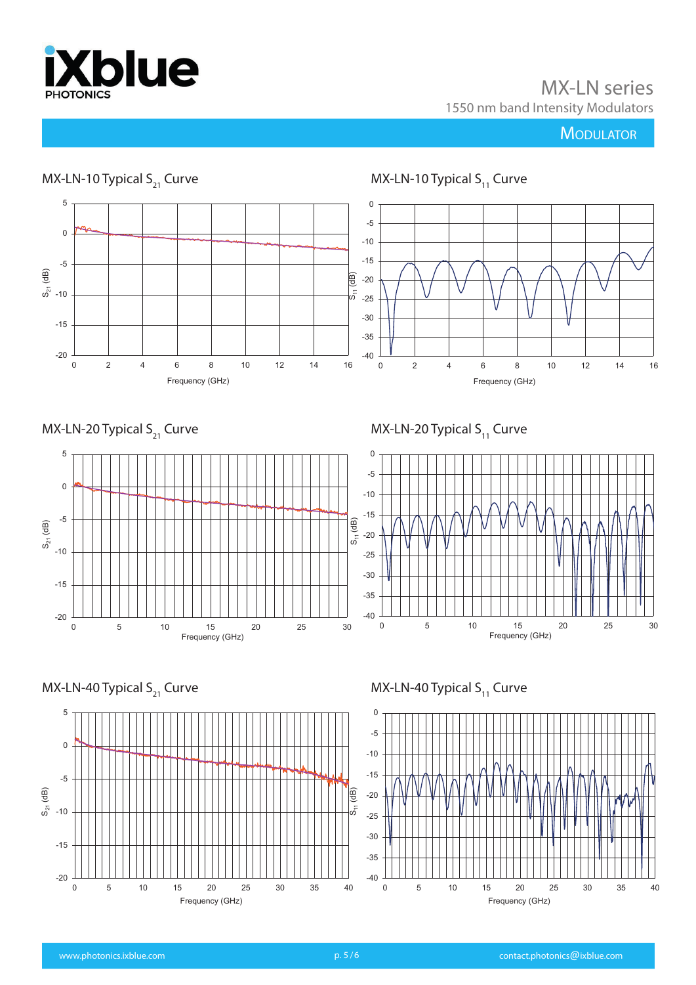

MX-LN series 1550 nm band Intensity Modulators

# **MODULATOR**







MX-LN-40 Typical  $S_{11}$  Curve